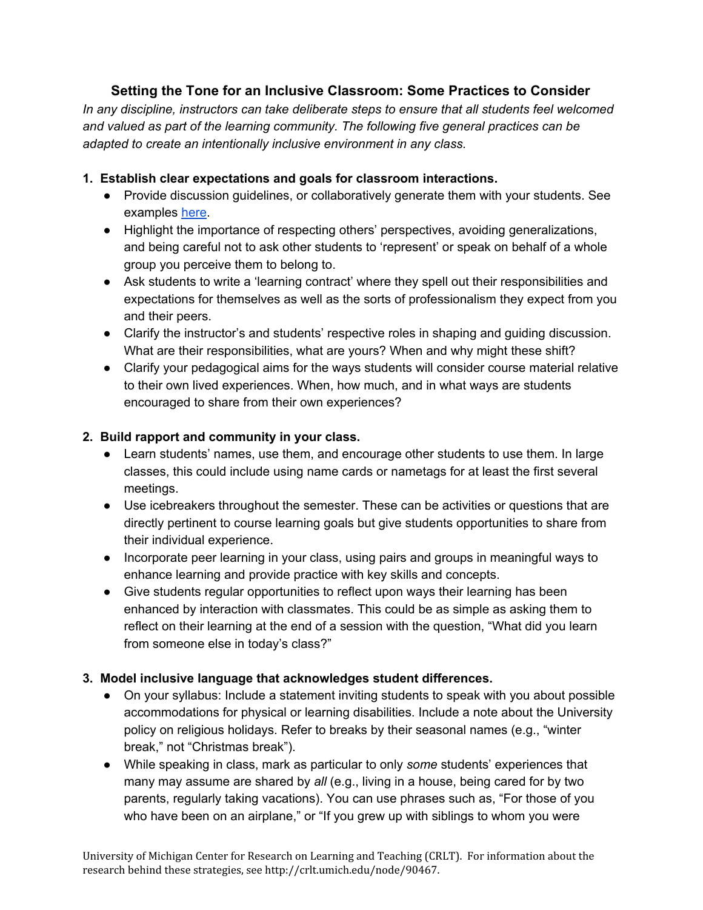# **Setting the Tone for an Inclusive Classroom: Some Practices to Consider**

*In any discipline, instructors can take deliberate steps to ensure that all students feel welcomed and valued as part of the learning community. The following five general practices can be adapted to create an intentionally inclusive environment in any class.*

## **1. Establish clear expectations and goals for classroom interactions.**

- Provide discussion guidelines, or collaboratively generate them with your students. See examples [here.](http://crlt.umich.edu/node/58410)
- Highlight the importance of respecting others' perspectives, avoiding generalizations, and being careful not to ask other students to 'represent' or speak on behalf of a whole group you perceive them to belong to.
- Ask students to write a 'learning contract' where they spell out their responsibilities and expectations for themselves as well as the sorts of professionalism they expect from you and their peers.
- Clarify the instructor's and students' respective roles in shaping and guiding discussion. What are their responsibilities, what are yours? When and why might these shift?
- Clarify your pedagogical aims for the ways students will consider course material relative to their own lived experiences. When, how much, and in what ways are students encouraged to share from their own experiences?

### **2. Build rapport and community in your class.**

- Learn students' names, use them, and encourage other students to use them. In large classes, this could include using name cards or nametags for at least the first several meetings.
- Use icebreakers throughout the semester. These can be activities or questions that are directly pertinent to course learning goals but give students opportunities to share from their individual experience.
- Incorporate peer learning in your class, using pairs and groups in meaningful ways to enhance learning and provide practice with key skills and concepts.
- Give students regular opportunities to reflect upon ways their learning has been enhanced by interaction with classmates. This could be as simple as asking them to reflect on their learning at the end of a session with the question, "What did you learn from someone else in today's class?"

### **3. Model inclusive language that acknowledges student differences.**

- On your syllabus: Include a statement inviting students to speak with you about possible accommodations for physical or learning disabilities. Include a note about the University policy on religious holidays. Refer to breaks by their seasonal names (e.g., "winter break," not "Christmas break").
- While speaking in class, mark as particular to only *some* students' experiences that many may assume are shared by *all* (e.g., living in a house, being cared for by two parents, regularly taking vacations). You can use phrases such as, "For those of you who have been on an airplane," or "If you grew up with siblings to whom you were